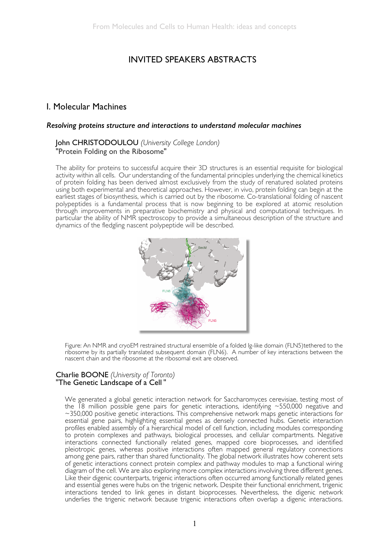## INVITED SPEAKERS ABSTRACTS

### I. Molecular Machines

#### *Resolving proteins structure and interactions to understand molecular machines*

### John CHRISTODOULOU *(University College London)*  "Protein Folding on the Ribosome"

The ability for proteins to successful acquire their 3D structures is an essential requisite for biological activity within all cells. Our understanding of the fundamental principles underlying the chemical kinetics of protein folding has been derived almost exclusively from the study of renatured isolated proteins using both experimental and theoretical approaches. However, in vivo, protein folding can begin at the earliest stages of biosynthesis, which is carried out by the ribosome. Co-translational folding of nascent polypeptides is a fundamental process that is now beginning to be explored at atomic resolution through improvements in preparative biochemistry and physical and computational techniques. In particular the ability of NMR spectroscopy to provide a simultaneous description of the structure and dynamics of the fledgling nascent polypeptide will be described.



Figure: An NMR and cryoEM restrained structural ensemble of a folded Ig-like domain (FLN5)tethered to the ribosome by its partially translated subsequent domain (FLN6). A number of key interactions between the nascent chain and the ribosome at the ribosomal exit are observed.

### Charlie BOONE *(University of Toronto)*  "The Genetic Landscape of a Cell "

We generated a global genetic interaction network for Saccharomyces cerevisiae, testing most of the 18 million possible gene pairs for genetic interactions, identifying ~550,000 negative and ~350,000 positive genetic interactions. This comprehensive network maps genetic interactions for essential gene pairs, highlighting essential genes as densely connected hubs. Genetic interaction profiles enabled assembly of a hierarchical model of cell function, including modules corresponding to protein complexes and pathways, biological processes, and cellular compartments. Negative interactions connected functionally related genes, mapped core bioprocesses, and identified pleiotropic genes, whereas positive interactions often mapped general regulatory connections among gene pairs, rather than shared functionality. The global network illustrates how coherent sets of genetic interactions connect protein complex and pathway modules to map a functional wiring diagram of the cell. We are also exploring more complex interactions involving three different genes. Like their digenic counterparts, trigenic interactions often occurred among functionally related genes and essential genes were hubs on the trigenic network. Despite their functional enrichment, trigenic interactions tended to link genes in distant bioprocesses. Nevertheless, the digenic network underlies the trigenic network because trigenic interactions often overlap a digenic interactions.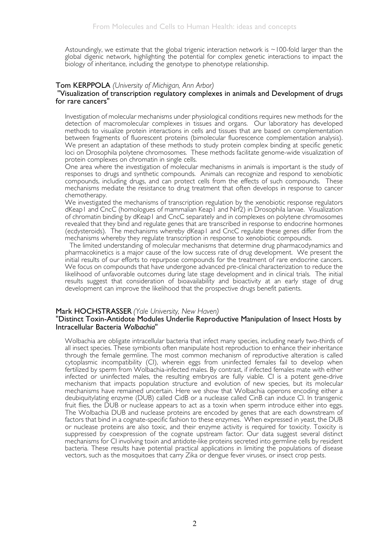Astoundingly, we estimate that the global trigenic interaction network is  $\sim$ 100-fold larger than the global digenic network, highlighting the potential for complex genetic interactions to impact the biology of inheritance, including the genotype to phenotype relationship.

# Tom KERPPOLA *(University of Michigan, Ann Arbor)* "Visualization of transcription regulatory complexes in animals and Development of drugs for rare cancers"

Investigation of molecular mechanisms under physiological conditions requires new methods for the detection of macromolecular complexes in tissues and organs. Our laboratory has developed methods to visualize protein interactions in cells and tissues that are based on complementation between fragments of fluorescent proteins (bimolecular fluorescence complementation analysis). We present an adaptation of these methods to study protein complex binding at specific genetic loci on Drosophila polytene chromosomes. These methods facilitate genome-wide visualization of protein complexes on chromatin in single cells.

One area where the investigation of molecular mechanisms in animals is important is the study of responses to drugs and synthetic compounds. Animals can recognize and respond to xenobiotic compounds, including drugs, and can protect cells from the effects of such compounds. These mechanisms mediate the resistance to drug treatment that often develops in response to cancer chemotherapy.

We investigated the mechanisms of transcription regulation by the xenobiotic response regulators dKeap1 and CncC (homologues of mammalian Keap1 and Nrf2) in Drosophila larvae. Visualization of chromatin binding by dKeap1 and CncC separately and in complexes on polytene chromosomes revealed that they bind and regulate genes that are transcribed in response to endocrine hormones (ecdysteroids). The mechanisms whereby dKeap1 and CncC regulate these genes differ from the mechanisms whereby they regulate transcription in response to xenobiotic compounds.

The limited understanding of molecular mechanisms that determine drug pharmacodynamics and pharmacokinetics is a major cause of the low success rate of drug development. We present the initial results of our efforts to repurpose compounds for the treatment of rare endocrine cancers. We focus on compounds that have undergone advanced pre-clinical characterization to reduce the likelihood of unfavorable outcomes during late stage development and in clinical trials. The initial results suggest that consideration of bioavailability and bioactivity at an early stage of drug development can improve the likelihood that the prospective drugs benefit patients.

#### Mark HOCHSTRASSER *(Yale University, New Haven)*

#### "Distinct Toxin-Antidote Modules Underlie Reproductive Manipulation of Insect Hosts by Intracellular Bacteria *Wolbachia*"

Wolbachia are obligate intracellular bacteria that infect many species, including nearly two-thirds of all insect species. These symbionts often manipulate host reproduction to enhance their inheritance through the female germline. The most common mechanism of reproductive alteration is called cytoplasmic incompatibility (CI), wherein eggs from uninfected females fail to develop when fertilized by sperm from Wolbachia-infected males. By contrast, if infected females mate with either infected or uninfected males, the resulting embryos are fully viable. CI is a potent gene-drive mechanism that impacts population structure and evolution of new species, but its molecular mechanisms have remained uncertain. Here we show that Wolbachia operons encoding either a deubiquitylating enzyme (DUB) called CidB or a nuclease called CinB can induce CI. In transgenic fruit flies, the DUB or nuclease appears to act as a toxin when sperm introduce either into eggs. The Wolbachia DUB and nuclease proteins are encoded by genes that are each downstream of factors that bind in a cognate-specific fashion to these enzymes. When expressed in yeast, the DUB or nuclease proteins are also toxic, and their enzyme activity is required for toxicity. Toxicity is suppressed by coexpression of the cognate upstream factor. Our data suggest several distinct mechanisms for CI involving toxin and antidote-like proteins secreted into germline cells by resident bacteria. These results have potential practical applications in limiting the populations of disease vectors, such as the mosquitoes that carry Zika or dengue fever viruses, or insect crop pests.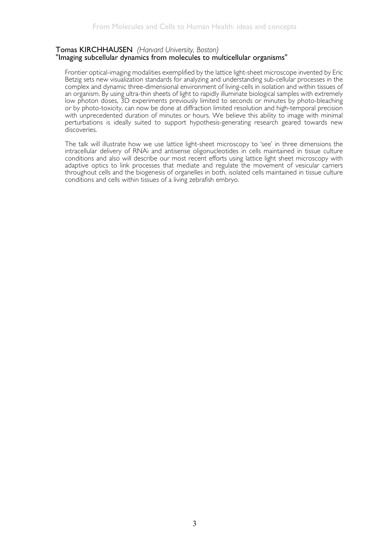# Tomas KIRCHHAUSEN *(Harvard University, Boston)* "Imaging subcellular dynamics from molecules to multicellular organisms"

Frontier optical-imaging modalities exemplified by the lattice light-sheet microscope invented by Eric Betzig sets new visualization standards for analyzing and understanding sub-cellular processes in the complex and dynamic three-dimensional environment of living-cells in isolation and within tissues of an organism. By using ultra-thin sheets of light to rapidly illuminate biological samples with extremely low photon doses, 3D experiments previously limited to seconds or minutes by photo-bleaching or by photo-toxicity, can now be done at diffraction limited resolution and high-temporal precision with unprecedented duration of minutes or hours. We believe this ability to image with minimal perturbations is ideally suited to support hypothesis-generating research geared towards new discoveries.

The talk will illustrate how we use lattice light-sheet microscopy to 'see' in three dimensions the intracellular delivery of RNAi and antisense oligonucleotides in cells maintained in tissue culture conditions and also will describe our most recent efforts using lattice light sheet microscopy with adaptive optics to link processes that mediate and regulate the movement of vesicular carriers throughout cells and the biogenesis of organelles in both, isolated cells maintained in tissue culture conditions and cells within tissues of a living zebrafish embryo.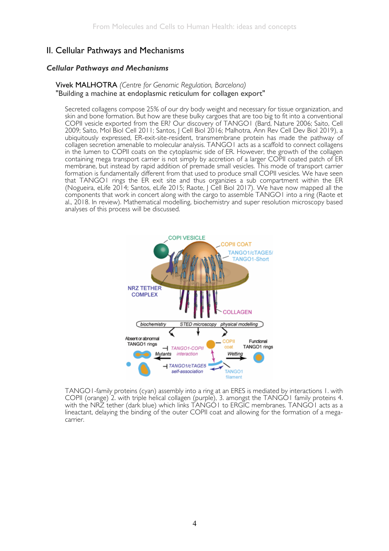### II. Cellular Pathways and Mechanisms

### *Cellular Pathways and Mechanisms*

### Vivek MALHOTRA *(Centre for Genomic Regulation, Barcelona)* "Building a machine at endoplasmic reticulum for collagen export"

Secreted collagens compose 25% of our dry body weight and necessary for tissue organization, and skin and bone formation. But how are these bulky cargoes that are too big to fit into a conventional COPII vesicle exported from the ER? Our discovery of TANGO1 (Bard, Nature 2006; Saito, Cell 2009; Saito, Mol Biol Cell 2011; Santos, J Cell Biol 2016; Malhotra, Ann Rev Cell Dev Biol 2019), a ubiquitously expressed, ER-exit-site-resident, transmembrane protein has made the pathway of collagen secretion amenable to molecular analysis. TANGO1 acts as a scaffold to connect collagens in the lumen to COPII coats on the cytoplasmic side of ER. However, the growth of the collagen containing mega transport carrier is not simply by accretion of a larger COPII coated patch of ER membrane, but instead by rapid addition of premade small vesicles. This mode of transport carrier formation is fundamentally different from that used to produce small COPII vesicles. We have seen that TANGO1 rings the ER exit site and thus organizies a sub compartment within the ER (Nogueira, eLife 2014; Santos, eLife 2015; Raote, J Cell Biol 2017). We have now mapped all the components that work in concert along with the cargo to assemble TANGO1 into a ring (Raote et al., 2018. In review). Mathematical modelling, biochemistry and super resolution microscopy based analyses of this process will be discussed.



TANGO1-family proteins (cyan) assembly into a ring at an ERES is mediated by interactions 1. with COPII (orange) 2. with triple helical collagen (purple), 3. amongst the TANGO1 family proteins 4. with the NRZ tether (dark blue) which links TANGO1 to ERGIC membranes. TANGO1 acts as a lineactant, delaying the binding of the outer COPII coat and allowing for the formation of a megacarrier.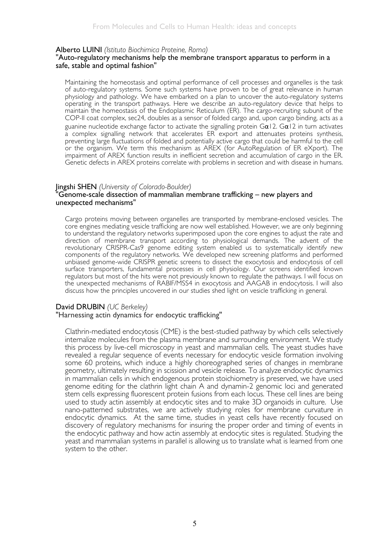# Alberto LUINI *(Istituto Biochimica Proteine, Roma)* "Auto-regulatory mechanisms help the membrane transport apparatus to perform in a safe, stable and optimal fashion"

Maintaining the homeostasis and optimal performance of cell processes and organelles is the task of auto-regulatory systems. Some such systems have proven to be of great relevance in human physiology and pathology. We have embarked on a plan to uncover the auto-regulatory systems operating in the transport pathways. Here we describe an auto-regulatory device that helps to maintain the homeostasis of the Endoplasmic Reticulum (ER). The cargo-recruiting subunit of the COP-II coat complex, sec24, doubles as a sensor of folded cargo and, upon cargo binding, acts as a guanine nucleotide exchange factor to activate the signalling protein  $Ga12$ .  $Ga12$  in turn activates a complex signalling network that accelerates ER export and attenuates proteins synthesis, preventing large fluctuations of folded and potentially active cargo that could be harmful to the cell or the organism. We term this mechanism as AREX (for AutoRegulation of ER eXport). The impairment of AREX function results in inefficient secretion and accumulation of cargo in the ER. Genetic defects in AREX proteins correlate with problems in secretion and with disease in humans.

# Jingshi SHEN *(University of Colorado-Boulder)* "Genome-scale dissection of mammalian membrane trafficking – new players and unexpected mechanisms"

Cargo proteins moving between organelles are transported by membrane-enclosed vesicles. The core engines mediating vesicle trafficking are now well established. However, we are only beginning to understand the regulatory networks superimposed upon the core engines to adjust the rate and direction of membrane transport according to physiological demands. The advent of the revolutionary CRISPR-Cas9 genome editing system enabled us to systematically identify new components of the regulatory networks. We developed new screening platforms and performed unbiased genome-wide CRISPR genetic screens to dissect the exocytosis and endocytosis of cell surface transporters, fundamental processes in cell physiology. Our screens identified known regulators but most of the hits were not previously known to regulate the pathways. I will focus on the unexpected mechanisms of RABIF/MSS4 in exocytosis and AAGAB in endocytosis. I will also discuss how the principles uncovered in our studies shed light on vesicle trafficking in general.

### David DRUBIN *(UC Berkeley)*

#### "Harnessing actin dynamics for endocytic trafficking"

Clathrin-mediated endocytosis (CME) is the best-studied pathway by which cells selectively internalize molecules from the plasma membrane and surrounding environment. We study this process by live-cell microscopy in yeast and mammalian cells. The yeast studies have revealed a regular sequence of events necessary for endocytic vesicle formation involving some 60 proteins, which induce a highly choreographed series of changes in membrane geometry, ultimately resulting in scission and vesicle release. To analyze endocytic dynamics in mammalian cells in which endogenous protein stoichiometry is preserved, we have used genome editing for the clathrin light chain A and dynamin-2 genomic loci and generated stem cells expressing fluorescent protein fusions from each locus. These cell lines are being used to study actin assembly at endocytic sites and to make 3D organoids in culture. Use nano-patterned substrates, we are actively studying roles for membrane curvature in endocytic dynamics. At the same time, studies in yeast cells have recently focused on discovery of regulatory mechanisms for insuring the proper order and timing of events in the endocytic pathway and how actin assembly at endocytic sites is regulated. Studying the yeast and mammalian systems in parallel is allowing us to translate what is learned from one system to the other.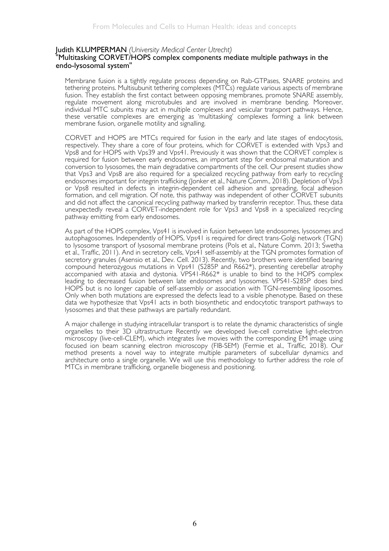# Judith KLUMPERMAN *(University Medical Center Utrecht)* "Multitasking CORVET/HOPS complex components mediate multiple pathways in the endo-lysosomal system"

Membrane fusion is a tightly regulate process depending on Rab-GTPases, SNARE proteins and tethering proteins. Multisubunit tethering complexes (MTCs) regulate various aspects of membrane fusion. They establish the first contact between opposing membranes, promote SNARE assembly, regulate movement along microtubules and are involved in membrane bending. Moreover, individual MTC subunits may act in multiple complexes and vesicular transport pathways. Hence, these versatile complexes are emerging as 'multitasking' complexes forming a link between membrane fusion, organelle motility and signalling.

CORVET and HOPS are MTCs required for fusion in the early and late stages of endocytosis, respectively. They share a core of four proteins, which for CORVET is extended with Vps3 and Vps8 and for HOPS with Vps39 and Vps41. Previously it was shown that the CORVET complex is required for fusion between early endosomes, an important step for endosomal maturation and conversion to lysosomes, the main degradative compartments of the cell. Our present studies show that Vps3 and Vps8 are also required for a specialized recycling pathway from early to recycling endosomes important for integrin trafficking (Jonker et al., Nature Comm., 2018). Depletion of Vps3 or Vps8 resulted in defects in integrin-dependent cell adhesion and spreading, focal adhesion formation, and cell migration. Of note, this pathway was independent of other CORVET subunits and did not affect the canonical recycling pathway marked by transferrin receptor. Thus, these data unexpectedly reveal a CORVET-independent role for Vps3 and Vps8 in a specialized recycling pathway emitting from early endosomes.

As part of the HOPS complex, Vps41 is involved in fusion between late endosomes, lysosomes and autophagosomes. Independently of HOPS, Vps41 is required for direct trans-Golgi network (TGN) to lysosome transport of lysosomal membrane proteins (Pols et al., Nature Comm. 2013; Swetha et al., Traffic, 2011). And in secretory cells, Vps41 self-assembly at the TGN promotes formation of secretory granules (Asensio et al., Dev. Cell. 2013). Recently, two brothers were identified bearing compound heterozygous mutations in Vps41 (S285P and R662\*), presenting cerebellar atrophy accompanied with ataxia and dystonia. VPS41-R662\* is unable to bind to the HOPS complex leading to decreased fusion between late endosomes and lysosomes. VPS41-S285P does bind HOPS but is no longer capable of self-assembly or association with TGN-resembling liposomes. Only when both mutations are expressed the defects lead to a visible phenotype. Based on these data we hypothesize that Vps41 acts in both biosynthetic and endocytotic transport pathways to lysosomes and that these pathways are partially redundant.

A major challenge in studying intracellular transport is to relate the dynamic characteristics of single organelles to their 3D ultrastructure Recently we developed live-cell correlative light-electron microscopy (live-cell-CLEM), which integrates live movies with the corresponding EM image using focused ion beam scanning electron microscopy (FIB-SEM) (Fermie et al., Traffic, 2018). Our method presents a novel way to integrate multiple parameters of subcellular dynamics and architecture onto a single organelle. We will use this methodology to further address the role of MTCs in membrane trafficking, organelle biogenesis and positioning.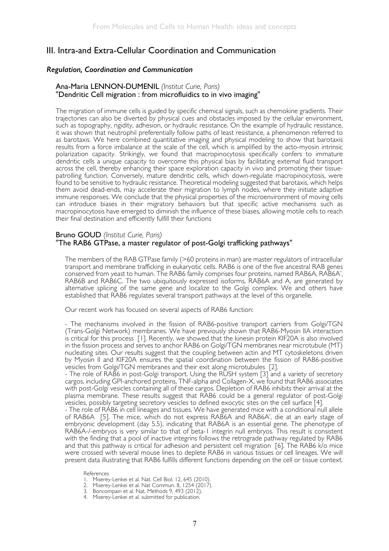### III. Intra-and Extra-Cellular Coordination and Communication

#### *Regulation, Coordination and Communication*

#### Ana-Maria LENNON-DUMENIL *(Institut Curie, Paris)*  "Dendritic Cell migration : from microfluidics to in vivo imaging"

The migration of immune cells is guided by specific chemical signals, such as chemokine gradients. Their trajectories can also be diverted by physical cues and obstacles imposed by the cellular environment, such as topography, rigidity, adhesion, or hydraulic resistance. On the example of hydraulic resistance, it was shown that neutrophil preferentially follow paths of least resistance, a phenomenon referred to as barotaxis. We here combined quantitative imaging and physical modeling to show that barotaxis results from a force imbalance at the scale of the cell, which is amplified by the acto-myosin intrinsic polarization capacity. Strikingly, we found that macropinocytosis specifically confers to immature dendritic cells a unique capacity to overcome this physical bias by facilitating external fluid transport across the cell, thereby enhancing their space exploration capacity in vivo and promoting their tissuepatrolling function. Conversely, mature dendritic cells, which down-regulate macropinocytosis, were found to be sensitive to hydraulic resistance. Theoretical modeling suggested that barotaxis, which helps them avoid dead-ends, may accelerate their migration to lymph nodes, where they initiate adaptive immune responses. We conclude that the physical properties of the microenvironment of moving cells can introduce biases in their migratory behaviors but that specific active mechanisms such as macropinocytosis have emerged to diminish the influence of these biases, allowing motile cells to reach their final destination and efficiently fulfill their functions

#### Bruno GOUD *(Institut Curie, Paris)*  "The RAB6 GTPase, a master regulator of post-Golgi trafficking pathways"

The members of the RAB GTPase family (>60 proteins in man) are master regulators of intracellular transport and membrane trafficking in eukaryotic cells. RAB6 is one of the five ancestral RAB genes conserved from yeast to human. The RAB6 family comprises four proteins, named RAB6A, RAB6A', RAB6B and RAB6C. The two ubiquitously expressed isoforms, RAB6A and A, are generated by alternative splicing of the same gene and localize to the Golgi complex. We and others have established that RAB6 regulates several transport pathways at the level of this organelle.

Our recent work has focused on several aspects of RAB6 function:

- The mechanisms involved in the fission of RAB6-positive transport carriers from Golgi/TGN (Trans-Golgi Network) membranes. We have previously shown that RAB6-Myosin IIA interaction is critical for this process [1]. Recently, we showed that the kinesin protein KIF20A is also involved in the fission process and serves to anchor RAB6 on Golgi/TGN membranes near microtubule (MT) nucleating sites. Our results suggest that the coupling between actin and MT cytoskeletons driven by Myosin II and KIF20A ensures the spatial coordination between the fission of RAB6-positive vesicles from Golgi/TGN membranes and their exit along microtubules [2].

- The role of RAB6 in post-Golgi transport. Using the RUSH system [3] and a variety of secretory cargos, including GPI-anchored proteins, TNF-alpha and Collagen-X, we found that RAB6 associates with post-Golgi vesicles containing all of these cargos. Depletion of RAB6 inhibits their arrival at the plasma membrane. These results suggest that RAB6 could be a general regulator of post-Golgi vesicles, possibly targeting secretory vesicles to defined exocytic sites on the cell surface [4].

- The role of RAB6 in cell lineages and tissues. We have generated mice with a conditional null allele of RAB6A [5]. The mice, which do not express RAB6A and RAB6A', die at an early stage of embryonic development (day 5.5), indicating that RAB6A is an essential gene. The phenotype of RAB6A-/-embryos is very similar to that of beta-1 integrin null embryos. This result is consistent with the finding that a pool of inactive integrins follows the retrograde pathway regulated by RAB6 and that this pathway is critical for adhesion and persistent cell migration [6]. The RAB6 k/o mice were crossed with several mouse lines to deplete RAB6 in various tissues or cell lineages. We will present data illustrating that RAB6 fulfills different functions depending on the cell or tissue context.

References

- 1. Miserey-Lenkei et al. Nat. Cell Biol. 12, 645 (2010).
- 2. Miserey-Lenkei et al. Nat Commun. 8, 1254 (2017).
- 3. Boncompain et al. Nat. Methods 9, 493 (2012).
- 4. Miserey-Lenkei et al. submitted for publication.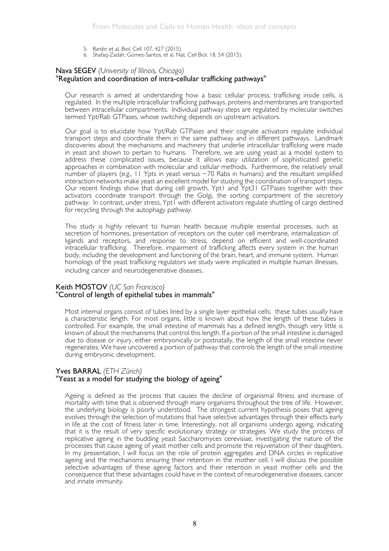- 5. Bardin et al. Biol. Cell 107, 427 (2015).
- 6. Shafaq-Zadah, Gomes-Santos, et al. Nat. Cell Biol. 18, 54 (2015).

#### Nava SEGEV *(University of Illinois, Chicago)*

#### "Regulation and coordination of intra-cellular trafficking pathways"

Our research is aimed at understanding how a basic cellular process, trafficking inside cells, is regulated. In the multiple intracellular trafficking pathways, proteins and membranes are transported between intracellular compartments. Individual pathway steps are regulated by molecular switches termed Ypt/Rab GTPases, whose switching depends on upstream activators.

Our goal is to elucidate how Ypt/Rab GTPases and their cognate activators regulate individual transport steps and coordinate them in the same pathway and in different pathways. Landmark discoveries about the mechanisms and machinery that underlie intracellular trafficking were made in yeast and shown to pertain to humans. Therefore, we are using yeast as a model system to address these complicated issues, because it allows easy utilization of sophisticated genetic approaches in combination with molecular and cellular methods. Furthermore, the relatively small number of players (e.g., 11 Ypts in yeast versus ~70 Rabs in humans) and the resultant simplified interaction networks make yeast an excellent model for studying the coordination of transport steps. Our recent findings show that during cell growth, Ypt1 and Ypt31 GTPases together with their activators coordinate transport through the Golgi, the sorting compartment of the secretory pathway. In contrast, under stress, Ypt1 with different activators regulate shuttling of cargo destined for recycling through the autophagy pathway.

This study is highly relevant to human health because multiple essential processes, such as secretion of hormones, presentation of receptors on the outer cell membrane, internalization of ligands and receptors, and response to stress, depend on efficient and well-coordinated intracellular trafficking. Therefore, impairment of trafficking affects every system in the human body, including the development and functioning of the brain, heart, and immune system. Human homologs of the yeast trafficking regulators we study were implicated in multiple human illnesses, including cancer and neurodegenerative diseases.

#### Keith MOSTOV *(UC San Francisco)*  "Control of length of epithelial tubes in mammals"

Most internal organs consist of tubes lined by a single layer epithelial cells; these tubes usually have a characteristic length. For most organs, little is known about how the length of these tubes is controlled. For example, the small intestine of mammals has a defined length, though very little is known of about the mechanisms that control this length. If a portion of the small intestine is damaged due to disease or injury, either embryonically or postnatally, the length of the small intestine never regenerates. We have uncovered a portion of pathway that controls the length of the small intestine during embryonic development.

#### Yves BARRAL *(ETH Zürich)*  "Yeast as a model for studying the biology of ageing"

Ageing is defined as the process that causes the decline of organismal fitness and increase of mortality with time that is observed through many organisms throughout the tree of life. However, the underlying biology is poorly understood. The strongest current hypothesis poses that ageing evolves through the selection of mutations that have selective advantages through their effects early in life at the cost of fitness later in time. Interestingly, not all organisms undergo ageing, indicating that it is the result of very specific evolutionary strategy or strategies. We study the process of replicative ageing in the budding yeast Saccharomyces cerevisiae, investigating the nature of the processes that cause ageing of yeast mother cells and promote the rejuvenation of their daughters. In my presentation, I will focus on the role of protein aggregates and DNA circles in replicative ageing and the mechanisms ensuring their retention in the mother cell. I will discuss the possible selective advantages of these ageing factors and their retention in yeast mother cells and the consequence that these advantages could have in the context of neurodegenerative diseases, cancer and innate immunity.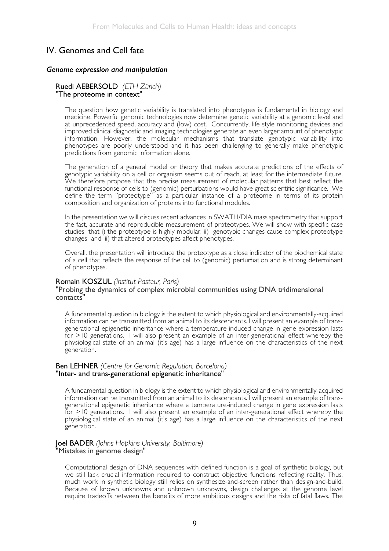## IV. Genomes and Cell fate

#### *Genome expression and manipulation*

# Ruedi AEBERSOLD *(ETH Zürich)* "The proteome in context"

The question how genetic variability is translated into phenotypes is fundamental in biology and medicine. Powerful genomic technologies now determine genetic variability at a genomic level and at unprecedented speed, accuracy and (low) cost. Concurrently, life style monitoring devices and improved clinical diagnostic and imaging technologies generate an even larger amount of phenotypic information. However, the molecular mechanisms that translate genotypic variability into phenotypes are poorly understood and it has been challenging to generally make phenotypic predictions from genomic information alone.

The generation of a general model or theory that makes accurate predictions of the effects of genotypic variability on a cell or organism seems out of reach, at least for the intermediate future. We therefore propose that the precise measurement of molecular patterns that best reflect the functional response of cells to (genomic) perturbations would have great scientific significance. We define the term "proteotype" as a particular instance of a proteome in terms of its protein composition and organization of proteins into functional modules.

In the presentation we will discuss recent advances in SWATH/DIA mass spectrometry that support the fast, accurate and reproducible measurement of proteotypes. We will show with specific case studies that i) the proteotype is highly modular, ii) genotypic changes cause complex proteotype changes and iii) that altered proteotypes affect phenotypes.

Overall, the presentation will introduce the proteotype as a close indicator of the biochemical state of a cell that reflects the response of the cell to (genomic) perturbation and is strong determinant of phenotypes.

#### Romain KOSZUL *(Institut Pasteur, Paris)*

#### "Probing the dynamics of complex microbial communities using DNA tridimensional contacts"

A fundamental question in biology is the extent to which physiological and environmentally-acquired information can be transmitted from an animal to its descendants. I will present an example of transgenerational epigenetic inheritance where a temperature-induced change in gene expression lasts for >10 generations. I will also present an example of an inter-generational effect whereby the physiological state of an animal (it's age) has a large influence on the characteristics of the next generation.

#### Ben LEHNER *(Centre for Genomic Regulation, Barcelona)* "Inter- and trans-generational epigenetic inheritance"

A fundamental question in biology is the extent to which physiological and environmentally-acquired information can be transmitted from an animal to its descendants. I will present an example of transgenerational epigenetic inheritance where a temperature-induced change in gene expression lasts for >10 generations. I will also present an example of an inter-generational effect whereby the physiological state of an animal (it's age) has a large influence on the characteristics of the next generation.

# Joel BADER *(Johns Hopkins University, Baltimore)* "Mistakes in genome design"

Computational design of DNA sequences with defined function is a goal of synthetic biology, but we still lack crucial information required to construct objective functions reflecting reality. Thus, much work in synthetic biology still relies on synthesize-and-screen rather than design-and-build. Because of known unknowns and unknown unknowns, design challenges at the genome level require tradeoffs between the benefits of more ambitious designs and the risks of fatal flaws. The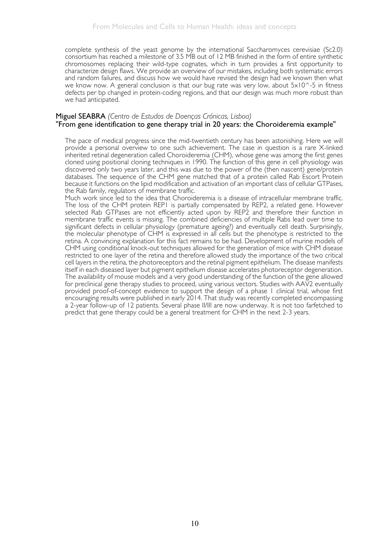complete synthesis of the yeast genome by the international Saccharomyces cerevisiae (Sc2.0) consortium has reached a milestone of 3.5 MB out of 12 MB finished in the form of entire synthetic chromosomes replacing their wild-type cognates, which in turn provides a first opportunity to characterize design flaws. We provide an overview of our mistakes, including both systematic errors and random failures, and discuss how we would have revised the design had we known then what we know now. A general conclusion is that our bug rate was very low, about  $5 \times 10^{-5}$  in fitness defects per bp changed in protein-coding regions, and that our design was much more robust than we had anticipated.

# Miguel SEABRA *(Centro de Estudos de Doenças Crónicas, Lisboa)* "From gene identification to gene therapy trial in 20 years: the Choroideremia example"

The pace of medical progress since the mid-twentieth century has been astonishing. Here we will provide a personal overview to one such achievement. The case in question is a rare X-linked inherited retinal degeneration called Choroideremia (CHM), whose gene was among the first genes cloned using positional cloning techniques in 1990. The function of this gene in cell physiology was discovered only two years later, and this was due to the power of the (then nascent) gene/protein databases. The sequence of the CHM gene matched that of a protein called Rab Escort Protein because it functions on the lipid modification and activation of an important class of cellular GTPases, the Rab family, regulators of membrane traffic.

Much work since led to the idea that Choroideremia is a disease of intracellular membrane traffic. The loss of the CHM protein REP1 is partially compensated by REP2, a related gene. However selected Rab GTPases are not efficiently acted upon by REP2 and therefore their function in membrane traffic events is missing. The combined deficiencies of multiple Rabs lead over time to significant defects in cellular physiology (premature ageing?) and eventually cell death. Surprisingly, the molecular phenotype of CHM is expressed in all cells but the phenotype is restricted to the retina. A convincing explanation for this fact remains to be had. Development of murine models of CHM using conditional knock-out techniques allowed for the generation of mice with CHM disease restricted to one layer of the retina and therefore allowed study the importance of the two critical cell layers in the retina, the photoreceptors and the retinal pigment epithelium. The disease manifests itself in each diseased layer but pigment epithelium disease accelerates photoreceptor degeneration. The availability of mouse models and a very good understanding of the function of the gene allowed for preclinical gene therapy studies to proceed, using various vectors. Studies with AAV2 eventually provided proof-of-concept evidence to support the design of a phase I clinical trial, whose first encouraging results were published in early 2014. That study was recently completed encompassing a 2-year follow-up of 12 patients. Several phase II/III are now underway. It is not too farfetched to predict that gene therapy could be a general treatment for CHM in the next 2-3 years.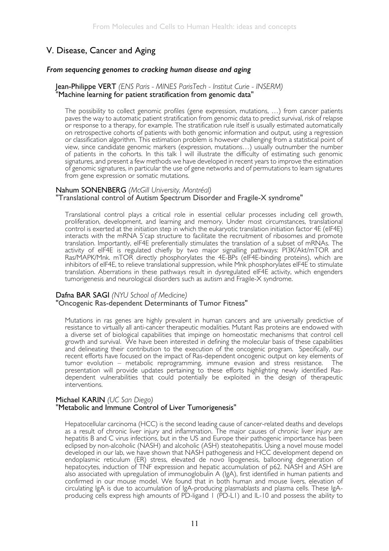## V. Disease, Cancer and Aging

#### *From sequencing genomes to cracking human disease and aging*

#### Jean-Philippe VERT *(ENS Paris - MINES ParisTech - Institut Curie - INSERM)*  "Machine learning for patient stratification from genomic data"

The possibility to collect genomic profiles (gene expression, mutations, …) from cancer patients paves the way to automatic patient stratification from genomic data to predict survival, risk of relapse or response to a therapy, for example. The stratification rule itself is usually estimated automatically on retrospective cohorts of patients with both genomic information and output, using a regression or classification algorithm. This estimation problem is however challenging from a statistical point of view, since candidate genomic markers (expression, mutations…) usually outnumber the number of patients in the cohorts. In this talk I will illustrate the difficulty of estimating such genomic signatures, and present a few methods we have developed in recent years to improve the estimation of genomic signatures, in particular the use of gene networks and of permutations to learn signatures from gene expression or somatic mutations.

#### Nahum SONENBERG *(McGill University, Montréal)* "Translational control of Autism Spectrum Disorder and Fragile-X syndrome"

Translational control plays a critical role in essential cellular processes including cell growth, proliferation, development, and learning and memory. Under most circumstances, translational control is exerted at the initiation step in which the eukaryotic translation initiation factor 4E (eIF4E) interacts with the mRNA 5'cap structure to facilitate the recruitment of ribosomes and promote translation. Importantly, eIF4E preferentially stimulates the translation of a subset of mRNAs. The activity of eIF4E is regulated chiefly by two major signalling pathways: PI3K/Akt/mTOR and Ras/MAPK/Mnk. mTOR directly phosphorylates the 4E-BPs (eIF4E-binding proteins), which are inhibitors of eIF4E, to relieve translational suppression, while Mnk phosphorylates eIF4E to stimulate translation. Aberrations in these pathways result in dysregulated eIF4E activity, which engenders tumorigenesis and neurological disorders such as autism and Fragile-X syndrome.

#### Dafna BAR SAGI *(NYU School of Medicine)* "Oncogenic Ras-dependent Determinants of Tumor Fitness"

Mutations in ras genes are highly prevalent in human cancers and are universally predictive of resistance to virtually all anti-cancer therapeutic modalities. Mutant Ras proteins are endowed with a diverse set of biological capabilities that impinge on homeostatic mechanisms that control cell growth and survival. We have been interested in defining the molecular basis of these capabilities and delineating their contribution to the execution of the oncogenic program. Specifically, our recent efforts have focused on the impact of Ras-dependent oncogenic output on key elements of tumor evolution – metabolic reprogramming, immune evasion and stress resistance. The presentation will provide updates pertaining to these efforts highlighting newly identified Rasdependent vulnerabilities that could potentially be exploited in the design of therapeutic interventions.

# Michael KARIN *(UC San Diego)* "Metabolic and Immune Control of Liver Tumorigenesis"

Hepatocellular carcinoma (HCC) is the second leading cause of cancer-related deaths and develops as a result of chronic liver injury and inflammation. The major causes of chronic liver injury are hepatitis B and C virus infections, but in the US and Europe their pathogenic importance has been eclipsed by non-alcoholic (NASH) and alcoholic (ASH) steatohepatitis. Using a novel mouse model developed in our lab, we have shown that NASH pathogenesis and HCC development depend on endoplasmic reticulum (ER) stress, elevated de novo lipogenesis, ballooning degeneration of hepatocytes, induction of TNF expression and hepatic accumulation of p62. NASH and ASH are also associated with upregulation of immunoglobulin A (IgA), first identified in human patients and confirmed in our mouse model. We found that in both human and mouse livers, elevation of circulating IgA is due to accumulation of IgA-producing plasmablasts and plasma cells. These IgAproducing cells express high amounts of PD-ligand 1 (PD-L1) and IL-10 and possess the ability to